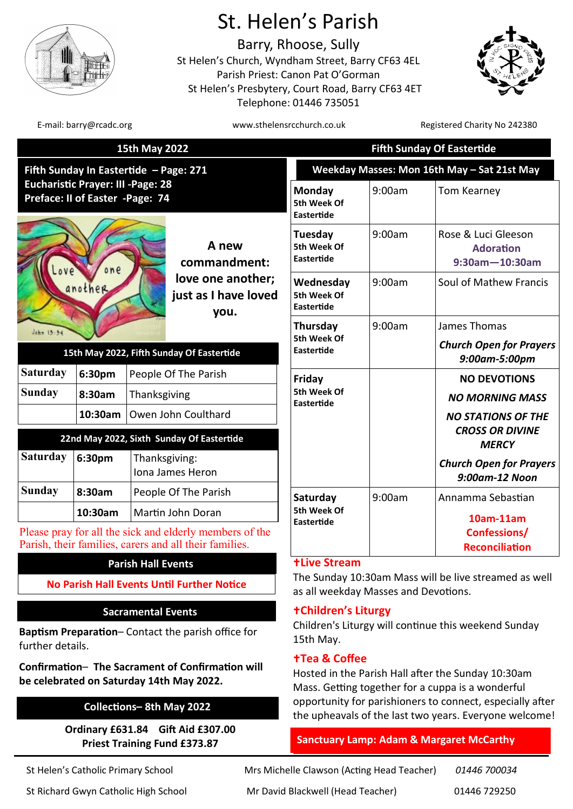

# St. Helen's Parish

Barry, Rhoose, Sully St Helen's Church, Wyndham Street, Barry CF63 4EL Parish Priest: Canon Pat O'Gorman St Helen's Presbytery, Court Road, Barry CF63 4ET Telephone: 01446 735051



E-mail: barry@rcadc.org www.sthelensrcchurch.co.uk Registered Charity No 242380

| 15th May 2022                                                                                                          |         |                                                                            |                                               | <b>Fifth Sunday Of Eastertide</b>                                                             |                                                                  |                                                  |
|------------------------------------------------------------------------------------------------------------------------|---------|----------------------------------------------------------------------------|-----------------------------------------------|-----------------------------------------------------------------------------------------------|------------------------------------------------------------------|--------------------------------------------------|
| Fifth Sunday In Eastertide - Page: 271<br><b>Eucharistic Prayer: III - Page: 28</b><br>Preface: II of Easter -Page: 74 |         |                                                                            |                                               | Weekday Masses: Mon 16th May - Sat 21st May                                                   |                                                                  |                                                  |
|                                                                                                                        |         |                                                                            |                                               | Monday<br>5th Week Of<br>Eastertide                                                           | 9:00am                                                           | <b>Tom Kearney</b>                               |
| one<br>$0V\rho$<br>another                                                                                             |         | A new<br>commandment:<br>love one another;<br>just as I have loved<br>you. | Tuesday<br>5th Week Of<br>Eastertide          | 9:00am                                                                                        | Rose & Luci Gleeson<br><b>Adoration</b><br>$9:30$ am $-10:30$ am |                                                  |
|                                                                                                                        |         |                                                                            | Wednesday<br>5th Week Of<br><b>Eastertide</b> | 9:00am                                                                                        | Soul of Mathew Francis                                           |                                                  |
| John 15:54                                                                                                             |         |                                                                            |                                               | Thursday<br>5th Week Of                                                                       | 9:00am                                                           | James Thomas                                     |
| 15th May 2022, Fifth Sunday Of Eastertide                                                                              |         |                                                                            |                                               | Eastertide                                                                                    |                                                                  | <b>Church Open for Prayers</b><br>9:00am-5:00pm  |
| <b>Saturday</b>                                                                                                        | 6:30pm  | People Of The Parish<br>Thanksgiving<br>Owen John Coulthard                |                                               | Friday<br>5th Week Of<br><b>Eastertide</b>                                                    |                                                                  | <b>NO DEVOTIONS</b>                              |
| <b>Sunday</b>                                                                                                          | 8:30am  |                                                                            |                                               |                                                                                               |                                                                  | <b>NO MORNING MASS</b>                           |
|                                                                                                                        | 10:30am |                                                                            |                                               |                                                                                               |                                                                  | <b>NO STATIONS OF THE</b>                        |
| 22nd May 2022, Sixth Sunday Of Eastertide                                                                              |         |                                                                            |                                               |                                                                                               |                                                                  | <b>CROSS OR DIVINE</b><br><b>MERCY</b>           |
| <b>Saturday</b>                                                                                                        | 6:30pm  | Thanksgiving:<br>Iona James Heron                                          |                                               |                                                                                               |                                                                  | <b>Church Open for Prayers</b><br>9:00am-12 Noon |
| <b>Sunday</b>                                                                                                          | 8:30am  | People Of The Parish                                                       |                                               | Saturday<br>5th Week Of<br><b>Eastertide</b>                                                  | 9:00am                                                           | Annamma Sebastian                                |
|                                                                                                                        | 10:30am | Martin John Doran                                                          |                                               |                                                                                               |                                                                  | 10am-11am                                        |
| Please pray for all the sick and elderly members of the<br>Parish, their families, carers and all their families.      |         |                                                                            |                                               |                                                                                               |                                                                  | <b>Confessions/</b><br><b>Reconciliation</b>     |
| <b>Parish Hall Events</b>                                                                                              |         |                                                                            |                                               | <b>+Live Stream</b>                                                                           |                                                                  |                                                  |
| <b>No Parish Hall Events Until Further Notice</b>                                                                      |         |                                                                            |                                               | The Sunday 10:30am Mass will be live streamed as well<br>as all weekday Masses and Devotions. |                                                                  |                                                  |

# **Sacramental Events**

**Baptism Preparation**– Contact the parish office for further details.

**Confirmation**– **The Sacrament of Confirmation will be celebrated on Saturday 14th May 2022.** 

# **Collections– 8th May 2022**

**Ordinary £631.84 Gift Aid £307.00 Priest Training Fund £373.87**

St Helen's Catholic Primary School Mrs Michelle Clawson (Acting Head Teacher) *01446 700034* St Richard Gwyn Catholic High School Mr David Blackwell (Head Teacher) 01446 729250

### **Children's Liturgy**

Children's Liturgy will continue this weekend Sunday 15th May.

#### **Tea & Coffee**

Hosted in the Parish Hall after the Sunday 10:30am Mass. Getting together for a cuppa is a wonderful opportunity for parishioners to connect, especially after the upheavals of the last two years. Everyone welcome!

# **Sanctuary Lamp: Adam & Margaret McCarthy**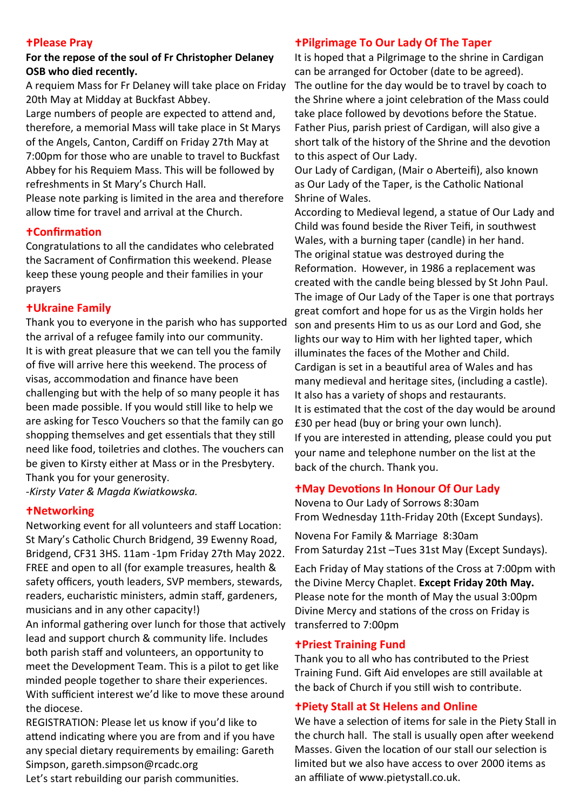#### **Please Pray**

#### **For the repose of the soul of Fr Christopher Delaney OSB who died recently.**

A requiem Mass for Fr Delaney will take place on Friday 20th May at Midday at Buckfast Abbey.

Large numbers of people are expected to attend and, therefore, a memorial Mass will take place in St Marys of the Angels, Canton, Cardiff on Friday 27th May at 7:00pm for those who are unable to travel to Buckfast Abbey for his Requiem Mass. This will be followed by refreshments in St Mary's Church Hall.

Please note parking is limited in the area and therefore allow time for travel and arrival at the Church.

#### **Confirmation**

Congratulations to all the candidates who celebrated the Sacrament of Confirmation this weekend. Please keep these young people and their families in your prayers

### **Ukraine Family**

Thank you to everyone in the parish who has supported the arrival of a refugee family into our community. It is with great pleasure that we can tell you the family of five will arrive here this weekend. The process of visas, accommodation and finance have been challenging but with the help of so many people it has been made possible. If you would still like to help we are asking for Tesco Vouchers so that the family can go shopping themselves and get essentials that they still need like food, toiletries and clothes. The vouchers can be given to Kirsty either at Mass or in the Presbytery. Thank you for your generosity.

*-Kirsty Vater & Magda Kwiatkowska.* 

### **Networking**

Networking event for all volunteers and staff Location: St Mary's Catholic Church Bridgend, 39 Ewenny Road, Bridgend, CF31 3HS. 11am -1pm Friday 27th May 2022. FREE and open to all (for example treasures, health & safety officers, youth leaders, SVP members, stewards, readers, eucharistic ministers, admin staff, gardeners, musicians and in any other capacity!)

An informal gathering over lunch for those that actively lead and support church & community life. Includes both parish staff and volunteers, an opportunity to meet the Development Team. This is a pilot to get like minded people together to share their experiences. With sufficient interest we'd like to move these around the diocese.

REGISTRATION: Please let us know if you'd like to attend indicating where you are from and if you have any special dietary requirements by emailing: Gareth Simpson, gareth.simpson@rcadc.org

Let's start rebuilding our parish communities.

#### **Pilgrimage To Our Lady Of The Taper**

It is hoped that a Pilgrimage to the shrine in Cardigan can be arranged for October (date to be agreed). The outline for the day would be to travel by coach to the Shrine where a joint celebration of the Mass could take place followed by devotions before the Statue. Father Pius, parish priest of Cardigan, will also give a short talk of the history of the Shrine and the devotion to this aspect of Our Lady.

Our Lady of Cardigan, (Mair o Aberteifi), also known as Our Lady of the Taper, is the Catholic National [Shrine](https://en.wikipedia.org/wiki/National_shrine) of Wales.

According to Medieval legend, a statue of Our Lady and Child was found beside the River Teifi, in southwest Wales, with a burning taper ([candle\)](https://en.wikipedia.org/wiki/Candle) in her hand. The original statue was destroyed during the Reformation. However, in 1986 a replacement was created with the candle being blessed by St John Paul. The image of Our Lady of the Taper is one that portrays great comfort and hope for us as the Virgin holds her son and presents Him to us as our Lord and God, she lights our way to Him with her lighted taper, which illuminates the faces of the Mother and Child. Cardigan is set in a beautiful area of Wales and has many medieval and heritage sites, (including a castle). It also has a variety of shops and restaurants. It is estimated that the cost of the day would be around £30 per head (buy or bring your own lunch). If you are interested in attending, please could you put your name and telephone number on the list at the back of the church. Thank you.

### **May Devotions In Honour Of Our Lady**

Novena to Our Lady of Sorrows 8:30am From Wednesday 11th-Friday 20th (Except Sundays).

Novena For Family & Marriage 8:30am From Saturday 21st –Tues 31st May (Except Sundays).

Each Friday of May stations of the Cross at 7:00pm with the Divine Mercy Chaplet. **Except Friday 20th May.** Please note for the month of May the usual 3:00pm Divine Mercy and stations of the cross on Friday is transferred to 7:00pm

### **Priest Training Fund**

Thank you to all who has contributed to the Priest Training Fund. Gift Aid envelopes are still available at the back of Church if you still wish to contribute.

### **Piety Stall at St Helens and Online**

limited but we also have access to over 2000 items as We have a selection of items for sale in the Piety Stall in the church hall. The stall is usually open after weekend Masses. Given the location of our stall our selection is an affiliate of [www.pietystall.co.uk.](https://www.pietystall.co.uk/?ref=2095)